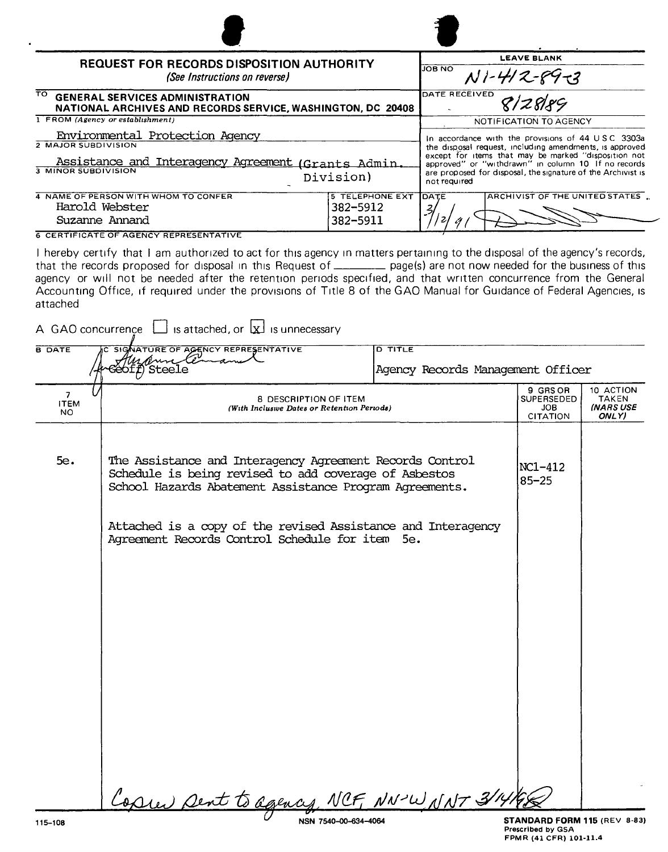| <b>REQUEST FOR RECORDS DISPOSITION AUTHORITY</b>                                                             |                        | <b>LEAVE BLANK</b><br><b>JOB NO</b>                                                                                                                                                         |  |
|--------------------------------------------------------------------------------------------------------------|------------------------|---------------------------------------------------------------------------------------------------------------------------------------------------------------------------------------------|--|
| (See Instructions on reverse)                                                                                | $N1 - 412 - 89 - 3$    |                                                                                                                                                                                             |  |
| TO.<br><b>GENERAL SERVICES ADMINISTRATION</b><br>NATIONAL ARCHIVES AND RECORDS SERVICE, WASHINGTON, DC 20408 |                        | DATE RECEIVED<br>8/2889                                                                                                                                                                     |  |
| 1 FROM (Agency or establishment)                                                                             |                        | NOTIFICATION TO AGENCY                                                                                                                                                                      |  |
| Environmental Protection Agency<br>2 MAJOR SUBDIVISION                                                       |                        | In accordance with the provisions of 44 $\cup$ SC 3303a<br>the disposal request, including amendments, is approved                                                                          |  |
| Assistance and Interagency Agreement (Grants Admin.<br>3 MINOR SUBDIVISION<br>Division)                      |                        | except for items that may be marked "disposition not<br>approved" or "withdrawn" in column 10 If no records<br>are proposed for disposal, the signature of the Archivist is<br>not required |  |
| 4 NAME OF PERSON WITH WHOM TO CONFER                                                                         | <b>5 TELEPHONE EXT</b> | ARCHIVIST OF THE UNITED STATES.<br><b>IDATE</b>                                                                                                                                             |  |
| Harold Webster                                                                                               | 382-5912               |                                                                                                                                                                                             |  |
| Suzanne Annand                                                                                               | 382-5911               |                                                                                                                                                                                             |  |
|                                                                                                              |                        |                                                                                                                                                                                             |  |

**6 CERTIFICATE OF AGENCY REPRESENTATIVE** 

I hereby certify that I am authorized to act for this agency in matters pertaining to the disposal of the agency's records, that the records proposed for disposal in this Request of \_\_\_\_\_\_\_ page(s) are not now needed for the business of this agency or will not be needed after the retention periods specified, and that written concurrence from the General Accounting Office, if required under the provisions of Title 8 of the GAO Manual for Guidance of Federal Agencies, is attached

| <b>B DATE</b>                        | SIGNATURE OF AGENCY REPRESENTATIVE<br>Mercunele                                                                                                                              | <b>D TITLE</b>                    |                                                                |                                                        |
|--------------------------------------|------------------------------------------------------------------------------------------------------------------------------------------------------------------------------|-----------------------------------|----------------------------------------------------------------|--------------------------------------------------------|
|                                      | 3eof <i>f</i> ) Steele                                                                                                                                                       | Agency Records Management Officer |                                                                |                                                        |
| $\overline{7}$<br><b>ITEM</b><br>NO. | 8 DESCRIPTION OF ITEM<br>(With Inclusive Dates or Retention Periods)                                                                                                         |                                   | 9 GRS OR<br><b>SUPERSEDED</b><br><b>JOB</b><br><b>CITATION</b> | 10 ACTION<br><b>TAKEN</b><br><b>(NARS USE</b><br>ONLY) |
| 5e.                                  | The Assistance and Interagency Agreement Records Control<br>Schedule is being revised to add coverage of Asbestos<br>School Hazards Abatement Assistance Program Agreements. |                                   | NC1-412<br>$85 - 25$                                           |                                                        |
|                                      | Attached is a copy of the revised Assistance and Interagency<br>Agreement Records Control Schedule for item 5e.                                                              |                                   |                                                                |                                                        |
|                                      |                                                                                                                                                                              |                                   |                                                                |                                                        |
|                                      |                                                                                                                                                                              |                                   |                                                                |                                                        |
|                                      |                                                                                                                                                                              |                                   |                                                                |                                                        |
|                                      |                                                                                                                                                                              |                                   |                                                                |                                                        |
|                                      |                                                                                                                                                                              |                                   |                                                                |                                                        |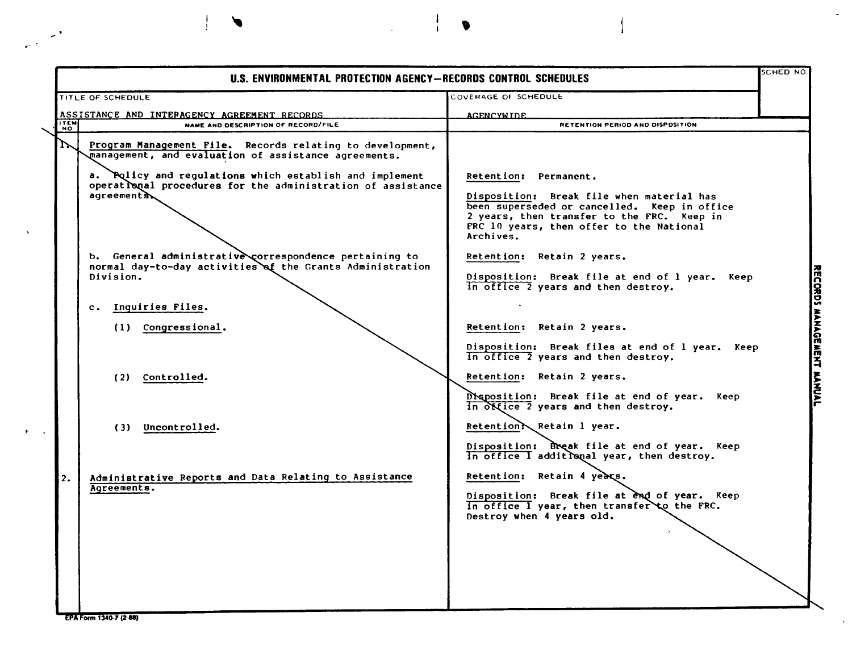|                                                                                                                                                                                                                                                                                                                                                                                                                                                                                                                                                                                    |                                                                                                                                                                                                                                                                                                                                                                                                                                                                                                                                                                                                                                                                                                                                                                                                                                                                                    | SCHED NO |
|------------------------------------------------------------------------------------------------------------------------------------------------------------------------------------------------------------------------------------------------------------------------------------------------------------------------------------------------------------------------------------------------------------------------------------------------------------------------------------------------------------------------------------------------------------------------------------|------------------------------------------------------------------------------------------------------------------------------------------------------------------------------------------------------------------------------------------------------------------------------------------------------------------------------------------------------------------------------------------------------------------------------------------------------------------------------------------------------------------------------------------------------------------------------------------------------------------------------------------------------------------------------------------------------------------------------------------------------------------------------------------------------------------------------------------------------------------------------------|----------|
| TITLE OF SCHEDULE                                                                                                                                                                                                                                                                                                                                                                                                                                                                                                                                                                  | COVERAGE OF SCHEDULE                                                                                                                                                                                                                                                                                                                                                                                                                                                                                                                                                                                                                                                                                                                                                                                                                                                               |          |
| ASSISTANCE AND INTERAGENCY AGREEMENT RECORDS.                                                                                                                                                                                                                                                                                                                                                                                                                                                                                                                                      | <b>AGENCYWIDE</b>                                                                                                                                                                                                                                                                                                                                                                                                                                                                                                                                                                                                                                                                                                                                                                                                                                                                  |          |
| <b>ITEM</b><br>NAME AND DESCRIPTION OF RECORD/FILE                                                                                                                                                                                                                                                                                                                                                                                                                                                                                                                                 | RETENTION PERIOD AND DISPOSITION                                                                                                                                                                                                                                                                                                                                                                                                                                                                                                                                                                                                                                                                                                                                                                                                                                                   |          |
| $\mathcal{L}$<br>Program Management File. Records relating to development,<br>management, and evaluation of assistance agreements.<br>a. Policy and regulations which establish and implement<br>operational procedures for the administration of assistance<br>agreements<br>b. General administrative correspondence pertaining to<br>normal day-to-day activities of the Grants Administration<br>Division.<br>c. Inquiries Files.<br>(1) Congressional.<br>(2) Controlled.<br>(3) Uncontrolled.<br>Administrative Reports and Data Relating to Assistance<br>2.<br>Agreements. | Retention: Permanent.<br>Disposition: Break file when material has<br>been superseded or cancelled. Keep in office<br>2 years, then transfer to the FRC. Keep in<br>FRC 10 years, then offer to the National<br>Archives.<br>Retention: Retain 2 years.<br>Disposition: Break file at end of 1 year. Keep<br>in office 2 years and then destroy.<br>Retention: Retain 2 years.<br>Disposition: Break files at end of 1 year. Keep<br>in office 2 years and then destroy.<br>Retention: Retain 2 years.<br>Disposition: Break file at end of year. Keep<br>in office 2 years and then destroy.<br>Retention? Retain 1 year.<br>Disposition: Break file at end of year. Keep<br>In office I additional year, then destroy.<br>Retention: Retain 4 years.<br>Disposition: Break file at end of year. Keep<br>in office I year, then transfer to the FRC.<br>Destroy when 4 years old. |          |

 $\ddot{\phantom{1}}$ 

 $\bullet$ 

 $\frac{1}{1}$ 

 $\mathcal{L}$ 

 $\mathcal{L}^{(1)}$ 

 $\mathbf{r}$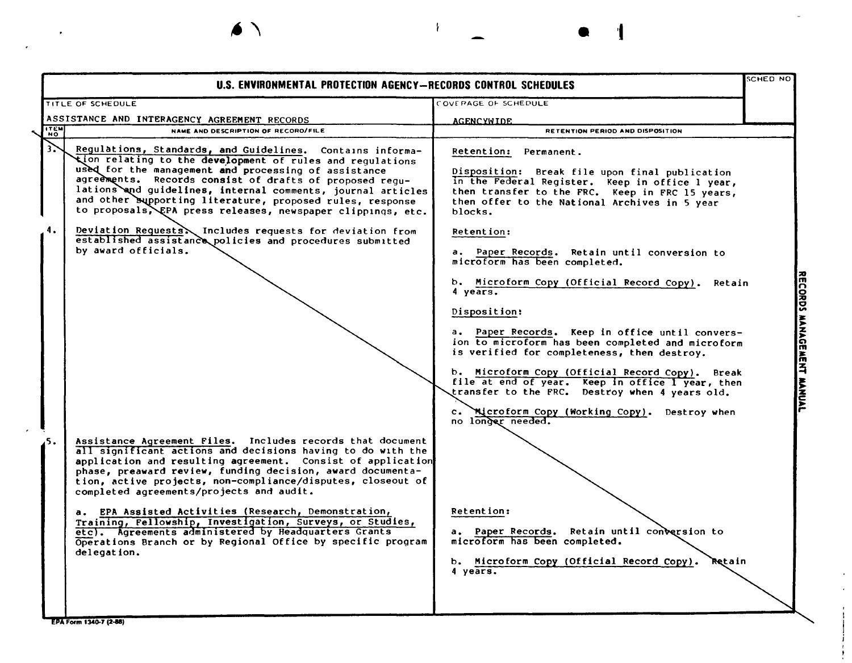| COVERAGE OF SCHEDULE<br><b>AGENCYWIDE</b><br>RETENTION PERIOD AND DISPOSITION<br>Regulations, Standards, and Guidelines. Contains informa-<br>Retention: Permanent.<br>tion relating to the development of rules and regulations<br>Disposition: Break file upon final publication<br>agreements. Records consist of drafts of proposed regu-<br>in the Federal Register. Keep in office 1 year,<br>lations and guidelines, internal comments, journal articles<br>then transfer to the FRC. Keep in FRC 15 years,<br>and other supporting literature, proposed rules, response<br>then offer to the National Archives in 5 year<br>to proposals, EPA press releases, newspaper clippings, etc.<br>blocks.<br>Deviation Requests \ Includes requests for deviation from<br>Retention:<br>established assistance policies and procedures submitted<br>a. Paper Records. Retain until conversion to<br>microform has been completed.<br>b. Microform Copy (Official Record Copy).<br>Retain<br>4 years.<br>Disposition:<br>a. Paper Records. Keep in office until convers- |
|--------------------------------------------------------------------------------------------------------------------------------------------------------------------------------------------------------------------------------------------------------------------------------------------------------------------------------------------------------------------------------------------------------------------------------------------------------------------------------------------------------------------------------------------------------------------------------------------------------------------------------------------------------------------------------------------------------------------------------------------------------------------------------------------------------------------------------------------------------------------------------------------------------------------------------------------------------------------------------------------------------------------------------------------------------------------------|
|                                                                                                                                                                                                                                                                                                                                                                                                                                                                                                                                                                                                                                                                                                                                                                                                                                                                                                                                                                                                                                                                          |
|                                                                                                                                                                                                                                                                                                                                                                                                                                                                                                                                                                                                                                                                                                                                                                                                                                                                                                                                                                                                                                                                          |
|                                                                                                                                                                                                                                                                                                                                                                                                                                                                                                                                                                                                                                                                                                                                                                                                                                                                                                                                                                                                                                                                          |
|                                                                                                                                                                                                                                                                                                                                                                                                                                                                                                                                                                                                                                                                                                                                                                                                                                                                                                                                                                                                                                                                          |
|                                                                                                                                                                                                                                                                                                                                                                                                                                                                                                                                                                                                                                                                                                                                                                                                                                                                                                                                                                                                                                                                          |
| ion to microform has been completed and microform<br>is verified for completeness, then destroy.<br>b. Microform Copy (Official Record Copy). Break<br>file at end of year. Keep in office I year, then<br>transfer to the FRC. Destroy when 4 years old.<br>Microform Copy (Working Copy). Destroy when<br>$\mathbf{c}$ .<br>no longer needed.                                                                                                                                                                                                                                                                                                                                                                                                                                                                                                                                                                                                                                                                                                                          |
| Assistance Agreement Files. Includes records that document<br>all significant actions and decisions having to do with the<br>application and resulting agreement. Consist of application<br>phase, preaward review, funding decision, award documenta-<br>tion, active projects, non-compliance/disputes, closeout of                                                                                                                                                                                                                                                                                                                                                                                                                                                                                                                                                                                                                                                                                                                                                    |
| <b>Retention:</b><br>Training, Fellowship, Investigation, Surveys, or Studies,<br>a. Paper Records. Retain until conversion to<br>Operations Branch or by Regional Office by specific program<br>microform has been completed.<br>b. Microform Copy (Official Record Copy).<br>Retain<br>4 years.                                                                                                                                                                                                                                                                                                                                                                                                                                                                                                                                                                                                                                                                                                                                                                        |
|                                                                                                                                                                                                                                                                                                                                                                                                                                                                                                                                                                                                                                                                                                                                                                                                                                                                                                                                                                                                                                                                          |

 $\mathcal{F}$ 

•

 $\bullet$ 

 $\epsilon$ 

 $\epsilon$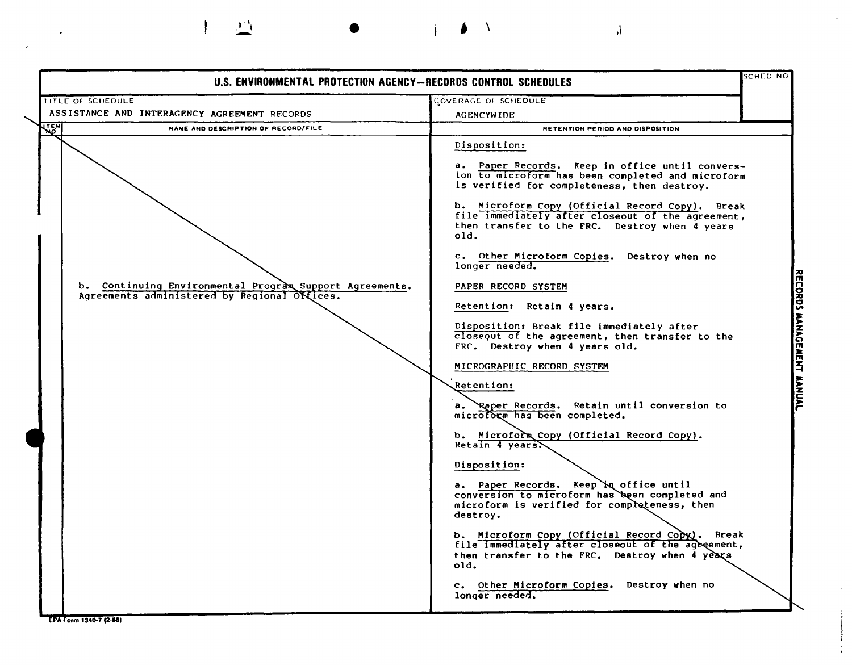SCHED NO U.S. **ENVIRONMENTAL PROTECTION AGENCY-RECORDS CONTROL SCHEDULES** TITLE OF SCHEDULE COVERAGE OF SCHEDULE INTERAGENCY AGREEMENT RECORD: **AGENCYWIDE** एहूल NAME AND DESCRIPTION OF RECORD/FILE RETENTION PERIOD AND DISPOSITION Disposition: a. Paper Records. Keep in office until conversion to microform has been completed and microform is verified for completeness, then destroy. b. Microform Copy (Official Record Copy). Break file immediately after closeout of the agreement, then transfer to the FRC. Destroy when  $\tilde{4}$  years old. c. Other Microform Copies. Destroy when no longer needed. b. Continuing Environmental Program Support Agreements. PAPER RECORD SYSTEM ORDS MANAGEMENT MANUA Agreements administered by Regional Offices. Retention: Retain 4 years. Disposition: Break file immediately after  $c$ loseout of the agreement, then transfer to the FRC. Destroy when 4 years old. MICROGRAPHIC RECORD SYSTEM **Retention:**  $a_{\bullet}$ Retain until conversion to microform has been completed. b. Microform Copy (Official Record Copy).  $Retain$   $4$  years. Disposition: a. Paper Records. Keep **`x**q office until conversion to microform has`been completed and microform is verified for completeness, then destroy. b. Microform Copy (Official Record Copy). Break file Immediately after closeout of the agreement, then transfer to the FRC. Destroy when 4 years  $old.$ c. Other Microform Copies. Destroy when no longer needed. EPA Form 1340-7 (2-88)

 $\mathbf{I} \mathbf{I}$  and  $\mathbf{I} \mathbf{I}$  and  $\mathbf{I} \mathbf{I}$  and  $\mathbf{I} \mathbf{I}$  and  $\mathbf{I} \mathbf{I}$ 

 $\mathbf{r}$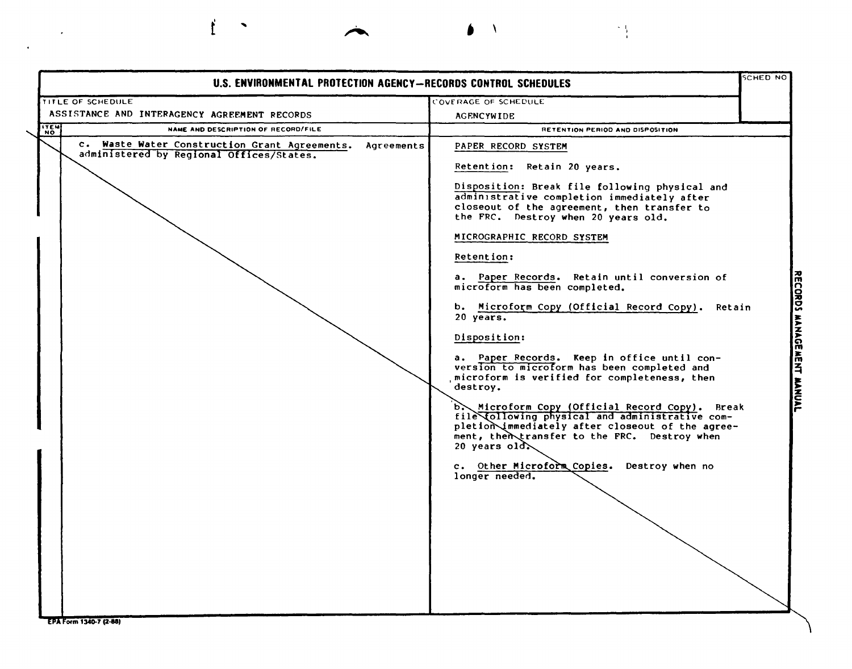| <b>SCHED NO</b><br>U.S. ENVIRONMENTAL PROTECTION AGENCY-RECORDS CONTROL SCHEDULES                       |                                                                                                                                                                                                                                                                                                                                                                                                                                                                                                                                                                                                                                                                                                                                                                                                                                                                                                                      |  |
|---------------------------------------------------------------------------------------------------------|----------------------------------------------------------------------------------------------------------------------------------------------------------------------------------------------------------------------------------------------------------------------------------------------------------------------------------------------------------------------------------------------------------------------------------------------------------------------------------------------------------------------------------------------------------------------------------------------------------------------------------------------------------------------------------------------------------------------------------------------------------------------------------------------------------------------------------------------------------------------------------------------------------------------|--|
| TITLE OF SCHEDULE                                                                                       | COVERAGE OF SCHEDULE                                                                                                                                                                                                                                                                                                                                                                                                                                                                                                                                                                                                                                                                                                                                                                                                                                                                                                 |  |
| ASSISTANCE AND INTERAGENCY AGREEMENT RECORDS                                                            | <b>AGENCYWIDE</b>                                                                                                                                                                                                                                                                                                                                                                                                                                                                                                                                                                                                                                                                                                                                                                                                                                                                                                    |  |
| <b>ITEM</b><br>NAME AND DESCRIPTION OF RECORD/FILE                                                      | RETENTION PERIOD AND DISPOSITION                                                                                                                                                                                                                                                                                                                                                                                                                                                                                                                                                                                                                                                                                                                                                                                                                                                                                     |  |
| c. Waste Water Construction Grant Agreements.<br>Agreements<br>administered by Regional Offices/States. | PAPER RECORD SYSTEM<br>Retention: Retain 20 years.<br>Disposition: Break file following physical and<br>administrative completion immediately after<br>closeout of the agreement, then transfer to<br>the FRC. Destroy when 20 years old.<br>MICROGRAPHIC RECORD SYSTEM<br>Retention:<br>a. Paper Records. Retain until conversion of<br>microform has been completed.<br>b. Microform Copy (Official Record Copy).<br>Retain<br>20 years.<br>Disposition:<br>a. Paper Records. Keep in office until con-<br>version to microform has been completed and<br>microform is verified for completeness, then<br>destroy.<br>b. Microform Copy (Official Record Copy). Break<br>file Collowing physical and administrative com-<br>pletion immediately after closeout of the agree-<br>ment, then transfer to the FRC. Destroy when<br>20 years $old.$<br>c. Other Microform Copies.<br>Destroy when no<br>longer needed. |  |

 $\bullet$  \

大型

 $\mathcal{L}^{\mathcal{L}}$  ,  $\mathcal{L}^{\mathcal{L}}$ 

 $\sim$  4.

 $\mathbf{f}$ 

 $\blacktriangledown$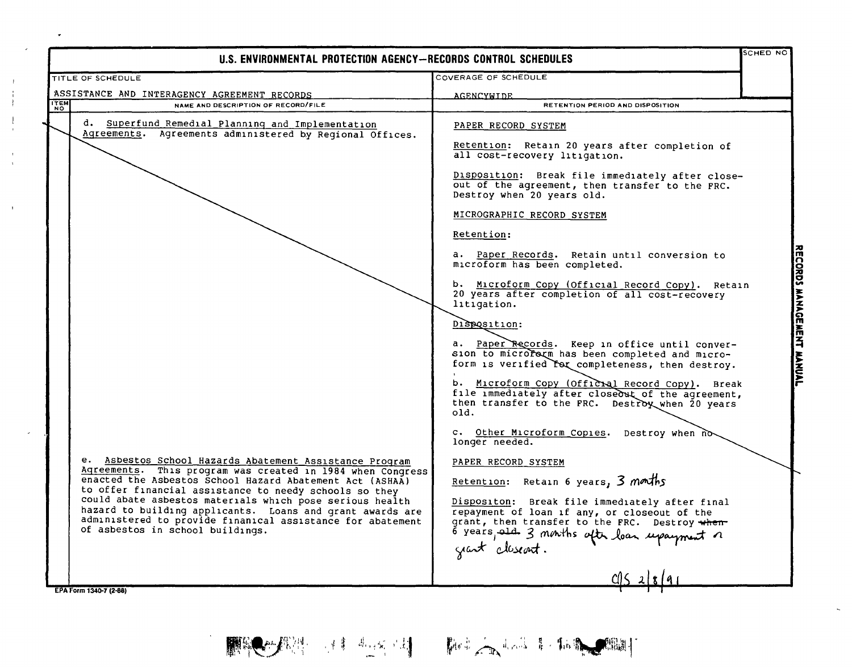| <b>SCHED NO</b><br>U.S. ENVIRONMENTAL PROTECTION AGENCY—RECORDS CONTROL SCHEDULES                                                                                                                                                                                                                                                                                                                                                                                                                                                                                                       |                                                                                                                                                                                                                                                                                                                                                                                                                                                                                                                                                                                                                                                                                                                                                                                                                                                                                                                                                                                                                                                                                                                                                                             |                           |
|-----------------------------------------------------------------------------------------------------------------------------------------------------------------------------------------------------------------------------------------------------------------------------------------------------------------------------------------------------------------------------------------------------------------------------------------------------------------------------------------------------------------------------------------------------------------------------------------|-----------------------------------------------------------------------------------------------------------------------------------------------------------------------------------------------------------------------------------------------------------------------------------------------------------------------------------------------------------------------------------------------------------------------------------------------------------------------------------------------------------------------------------------------------------------------------------------------------------------------------------------------------------------------------------------------------------------------------------------------------------------------------------------------------------------------------------------------------------------------------------------------------------------------------------------------------------------------------------------------------------------------------------------------------------------------------------------------------------------------------------------------------------------------------|---------------------------|
| TITLE OF SCHEDULE                                                                                                                                                                                                                                                                                                                                                                                                                                                                                                                                                                       | COVERAGE OF SCHEDULE                                                                                                                                                                                                                                                                                                                                                                                                                                                                                                                                                                                                                                                                                                                                                                                                                                                                                                                                                                                                                                                                                                                                                        |                           |
| ASSISTANCE AND INTERAGENCY AGREEMENT RECORDS                                                                                                                                                                                                                                                                                                                                                                                                                                                                                                                                            | <b>AGENCYWIDE</b>                                                                                                                                                                                                                                                                                                                                                                                                                                                                                                                                                                                                                                                                                                                                                                                                                                                                                                                                                                                                                                                                                                                                                           |                           |
| <b>ITEM</b><br>NAME AND DESCRIPTION OF RECORD/FILE                                                                                                                                                                                                                                                                                                                                                                                                                                                                                                                                      | RETENTION PERIOD AND DISPOSITION                                                                                                                                                                                                                                                                                                                                                                                                                                                                                                                                                                                                                                                                                                                                                                                                                                                                                                                                                                                                                                                                                                                                            |                           |
| d. Superfund Remedial Planning and Implementation<br>Agreements. Agreements administered by Regional Offices.<br>e. Asbestos School Hazards Abatement Assistance Program<br>Agreements. This program was created in 1984 when Congress<br>enacted the Asbestos School Hazard Abatement Act (ASHAA)<br>to offer financial assistance to needy schools so they<br>could abate asbestos materials which pose serious health<br>hazard to building applicants. Loans and grant awards are<br>administered to provide finanical assistance for abatement<br>of asbestos in school buildings. | PAPER RECORD SYSTEM<br>Retention: Retain 20 years after completion of<br>all cost-recovery litigation.<br>Disposition: Break file immediately after close-<br>out of the agreement, then transfer to the FRC.<br>Destroy when 20 years old.<br>MICROGRAPHIC RECORD SYSTEM<br>Retention:<br>a. Paper Records. Retain until conversion to<br>microform has been completed.<br>b. Microform Copy (Official Record Copy). Retain<br>20 years after completion of all cost-recovery<br>litigation.<br>Disposition:<br>a. Paper Records. Keep in office until conver-<br>sion to micrororm has been completed and micro-<br>form is verified for completeness, then destroy.<br>b. Microform Copy (Officral Record Copy). Break<br>file immediately after closeout of the agreement,<br>then transfer to the FRC. Destroy when 20 years<br>old.<br>c. Other Microform Copies. Destroy when no<br>longer needed.<br>PAPER RECORD SYSTEM<br>Retention: Retain 6 years, $3$ months<br>Dispositon: Break file immediately after final<br>repayment of loan if any, or closeout of the<br>grant, then transfer to the FRC. Destroy when<br>o years, and 3 months after loan upayment a | RECORDS MANAGEMENT MANUAL |
|                                                                                                                                                                                                                                                                                                                                                                                                                                                                                                                                                                                         | grant closent.                                                                                                                                                                                                                                                                                                                                                                                                                                                                                                                                                                                                                                                                                                                                                                                                                                                                                                                                                                                                                                                                                                                                                              |                           |
| EPA Form 1340-7 (2-88)                                                                                                                                                                                                                                                                                                                                                                                                                                                                                                                                                                  |                                                                                                                                                                                                                                                                                                                                                                                                                                                                                                                                                                                                                                                                                                                                                                                                                                                                                                                                                                                                                                                                                                                                                                             |                           |

 $J_{\alpha}$  ,  $J_{\alpha}$  , .- '

 $\begin{array}{c} 1 \\ 1 \\ 1 \\ 1 \end{array}$ 

 $\bar{1}$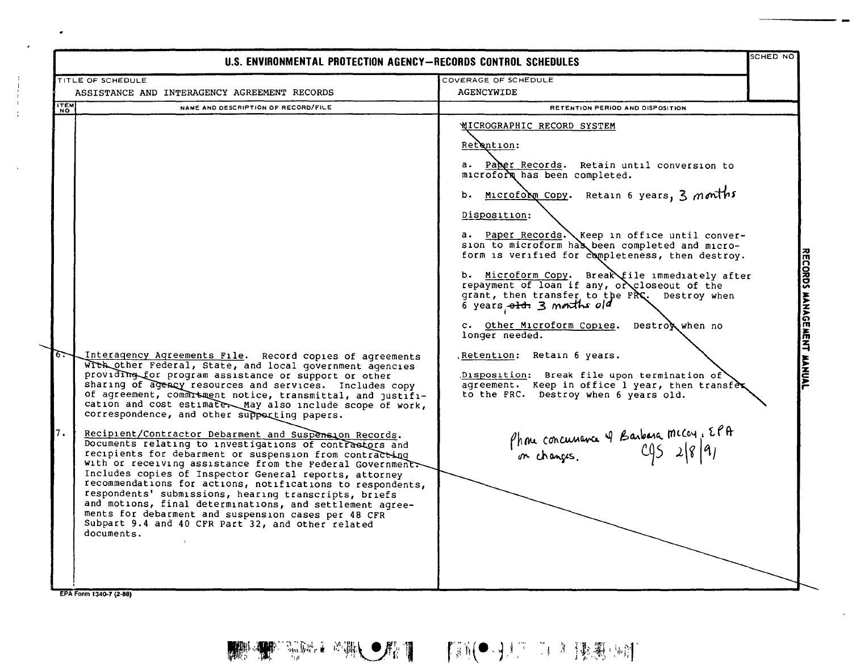| U.S. ENVIRONMENTAL PROTECTION AGENCY-RECORDS CONTROL SCHEDULES |                                                                                                                                                                                                                                                                                                                                                                                                                                                                                                                                                                                                                                                                                                                                                                                                                                                                                                                                                                                                                                       |                                                                                                                                                                                                                                                                                                                                                                                                                                                                                                                                                                                                                                                                                                                                                                                                                                    | SCHED NO |                           |
|----------------------------------------------------------------|---------------------------------------------------------------------------------------------------------------------------------------------------------------------------------------------------------------------------------------------------------------------------------------------------------------------------------------------------------------------------------------------------------------------------------------------------------------------------------------------------------------------------------------------------------------------------------------------------------------------------------------------------------------------------------------------------------------------------------------------------------------------------------------------------------------------------------------------------------------------------------------------------------------------------------------------------------------------------------------------------------------------------------------|------------------------------------------------------------------------------------------------------------------------------------------------------------------------------------------------------------------------------------------------------------------------------------------------------------------------------------------------------------------------------------------------------------------------------------------------------------------------------------------------------------------------------------------------------------------------------------------------------------------------------------------------------------------------------------------------------------------------------------------------------------------------------------------------------------------------------------|----------|---------------------------|
|                                                                | TITLE OF SCHEDULE                                                                                                                                                                                                                                                                                                                                                                                                                                                                                                                                                                                                                                                                                                                                                                                                                                                                                                                                                                                                                     | COVERAGE OF SCHEDULE                                                                                                                                                                                                                                                                                                                                                                                                                                                                                                                                                                                                                                                                                                                                                                                                               |          |                           |
|                                                                | ASSISTANCE AND INTERAGENCY AGREEMENT RECORDS                                                                                                                                                                                                                                                                                                                                                                                                                                                                                                                                                                                                                                                                                                                                                                                                                                                                                                                                                                                          | <b>AGENCYWIDE</b>                                                                                                                                                                                                                                                                                                                                                                                                                                                                                                                                                                                                                                                                                                                                                                                                                  |          |                           |
| <b>ITEM</b>                                                    | NAME AND DESCRIPTION OF RECORD/FILE                                                                                                                                                                                                                                                                                                                                                                                                                                                                                                                                                                                                                                                                                                                                                                                                                                                                                                                                                                                                   | RETENTION PERIOD AND DISPOSITION                                                                                                                                                                                                                                                                                                                                                                                                                                                                                                                                                                                                                                                                                                                                                                                                   |          |                           |
| 67<br>7.                                                       | Interagency Agreements File. Record copies of agreements<br>with other Federal, State, and local government agencies<br>providing for program assistance or support or other<br>sharing of agency resources and services. Includes copy<br>of agreement, commrtment notice, transmittal, and justifi-<br>cation and cost estimater May also include scope of work,<br>correspondence, and other supporting papers.<br>Recipient/Contractor Debarment and Suspension Records.<br>Documents relating to investigations of contrastors and<br>recipients for debarment or suspension from contracting<br>with or receiving assistance from the Federal Government<br>Includes copies of Inspector General reports, attorney<br>recommendations for actions, notifications to respondents,<br>respondents' submissions, hearing transcripts, briefs<br>and motions, final determinations, and settlement agree-<br>ments for debarment and suspension cases per 48 CFR<br>Subpart 9.4 and 40 CFR Part 32, and other related<br>documents. | <b>WICROGRAPHIC RECORD SYSTEM</b><br>Retention:<br>a. Paper Records. Retain until conversion to<br>microform has been completed.<br>Microfolm Copy. Retain 6 years, 3 months<br>b.<br>Disposition:<br>a. Paper Records. Keep in office until conver-<br>sion to microform has been completed and micro-<br>form is verified for completeness, then destroy.<br>Microform Copy. Break file immediately after<br>b.<br>repayment of loan if any, or closeout of the<br>grant, then transfer to the FRC. Destroy when<br>6 years old. 3 months old<br>c. Other Microform Copies. Destrox when no<br>longer needed.<br>Retention: Retain 6 years.<br>Disposition: Break file upon termination of<br>agreement. Keep in office 1 year, then transfex<br>to the FRC. Destroy when 6 years old.<br>Phone concurrence & Barbara micar, EPA |          | RECORDS MANAGEMENT MANUAL |

EPA Form 1340-7 (2-88)

 $\bullet$ 

 $\sim$ 

 $\overline{\phantom{0}}$